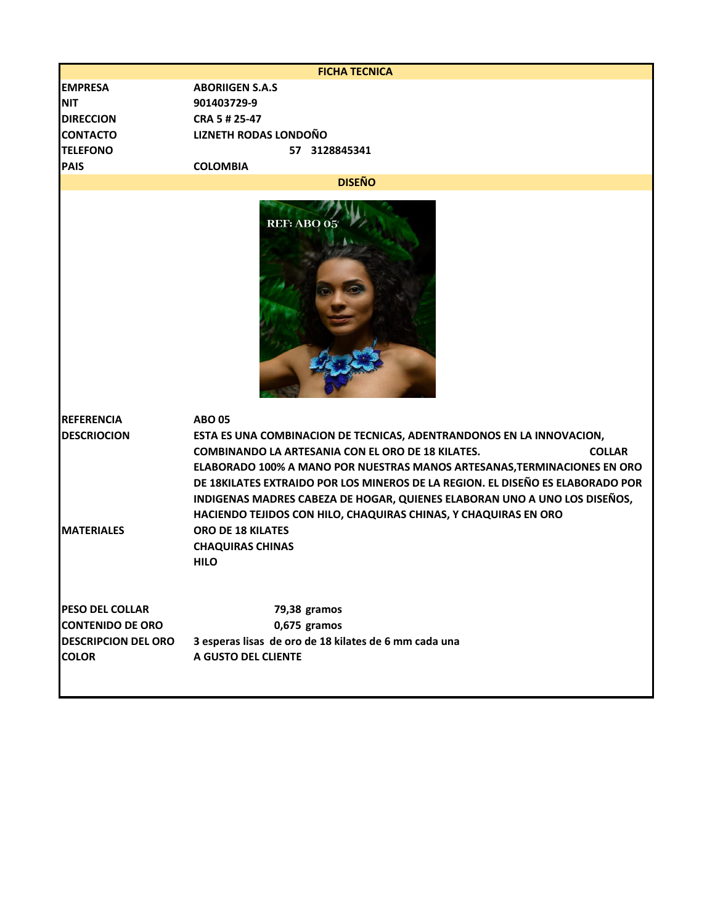| <b>FICHA TECNICA</b>                    |                                                                                                                                                                                                                                                                                                                                                                                                                                                                                  |  |
|-----------------------------------------|----------------------------------------------------------------------------------------------------------------------------------------------------------------------------------------------------------------------------------------------------------------------------------------------------------------------------------------------------------------------------------------------------------------------------------------------------------------------------------|--|
| <b>EMPRESA</b>                          | <b>ABORIIGEN S.A.S</b>                                                                                                                                                                                                                                                                                                                                                                                                                                                           |  |
| <b>NIT</b>                              | 901403729-9                                                                                                                                                                                                                                                                                                                                                                                                                                                                      |  |
| <b>DIRECCION</b>                        | CRA 5 # 25-47                                                                                                                                                                                                                                                                                                                                                                                                                                                                    |  |
| <b>CONTACTO</b>                         | <b>LIZNETH RODAS LONDOÑO</b>                                                                                                                                                                                                                                                                                                                                                                                                                                                     |  |
| <b>TELEFONO</b>                         | 57 3128845341                                                                                                                                                                                                                                                                                                                                                                                                                                                                    |  |
| <b>PAIS</b>                             | <b>COLOMBIA</b>                                                                                                                                                                                                                                                                                                                                                                                                                                                                  |  |
| <b>DISEÑO</b>                           |                                                                                                                                                                                                                                                                                                                                                                                                                                                                                  |  |
|                                         | <b>REF: ABO 05</b>                                                                                                                                                                                                                                                                                                                                                                                                                                                               |  |
| <b>REFERENCIA</b><br><b>DESCRIOCION</b> | <b>ABO 05</b><br>ESTA ES UNA COMBINACION DE TECNICAS, ADENTRANDONOS EN LA INNOVACION,<br><b>COMBINANDO LA ARTESANIA CON EL ORO DE 18 KILATES.</b><br><b>COLLAR</b><br>ELABORADO 100% A MANO POR NUESTRAS MANOS ARTESANAS, TERMINACIONES EN ORO<br>DE 18KILATES EXTRAIDO POR LOS MINEROS DE LA REGION. EL DISEÑO ES ELABORADO POR<br>INDIGENAS MADRES CABEZA DE HOGAR, QUIENES ELABORAN UNO A UNO LOS DISEÑOS,<br>HACIENDO TEJIDOS CON HILO, CHAQUIRAS CHINAS, Y CHAQUIRAS EN ORO |  |
| <b>MATERIALES</b>                       | <b>ORO DE 18 KILATES</b><br><b>CHAQUIRAS CHINAS</b><br><b>HILO</b>                                                                                                                                                                                                                                                                                                                                                                                                               |  |
| <b>PESO DEL COLLAR</b>                  | 79,38 gramos                                                                                                                                                                                                                                                                                                                                                                                                                                                                     |  |
| <b>CONTENIDO DE ORO</b>                 | 0,675 gramos                                                                                                                                                                                                                                                                                                                                                                                                                                                                     |  |
| <b>DESCRIPCION DEL ORO</b>              | 3 esperas lisas de oro de 18 kilates de 6 mm cada una                                                                                                                                                                                                                                                                                                                                                                                                                            |  |
| <b>COLOR</b>                            | A GUSTO DEL CLIENTE                                                                                                                                                                                                                                                                                                                                                                                                                                                              |  |